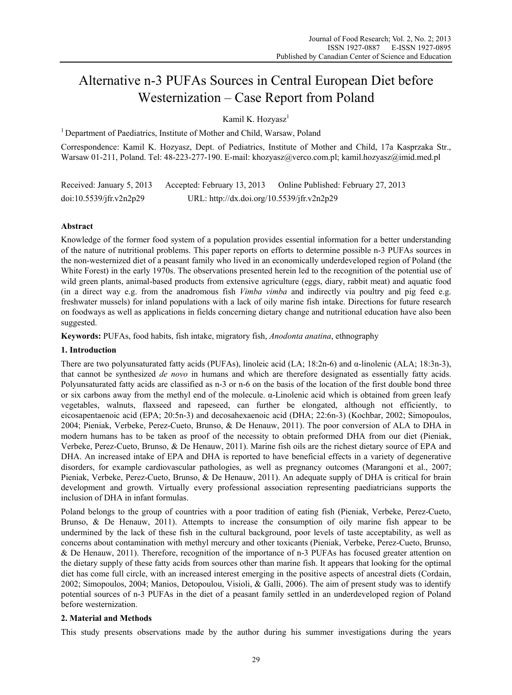# Alternative n-3 PUFAs Sources in Central European Diet before Westernization – Case Report from Poland

Kamil K. Hozyasz<sup>1</sup>

<sup>1</sup> Department of Paediatrics, Institute of Mother and Child, Warsaw, Poland

Correspondence: Kamil K. Hozyasz, Dept. of Pediatrics, Institute of Mother and Child, 17a Kasprzaka Str., Warsaw 01-211, Poland. Tel: 48-223-277-190. E-mail: khozyasz@verco.com.pl; kamil.hozyasz@imid.med.pl

Received: January 5, 2013 Accepted: February 13, 2013 Online Published: February 27, 2013 doi:10.5539/jfr.v2n2p29 URL: http://dx.doi.org/10.5539/jfr.v2n2p29

## **Abstract**

Knowledge of the former food system of a population provides essential information for a better understanding of the nature of nutritional problems. This paper reports on efforts to determine possible n-3 PUFAs sources in the non-westernized diet of a peasant family who lived in an economically underdeveloped region of Poland (the White Forest) in the early 1970s. The observations presented herein led to the recognition of the potential use of wild green plants, animal-based products from extensive agriculture (eggs, diary, rabbit meat) and aquatic food (in a direct way e.g. from the anadromous fish *Vimba vimba* and indirectly via poultry and pig feed e.g. freshwater mussels) for inland populations with a lack of oily marine fish intake. Directions for future research on foodways as well as applications in fields concerning dietary change and nutritional education have also been suggested.

**Keywords:** PUFAs, food habits, fish intake, migratory fish, *Anodonta anatina*, ethnography

## **1. Introduction**

There are two polyunsaturated fatty acids (PUFAs), linoleic acid (LA; 18:2n-6) and  $\alpha$ -linolenic (ALA; 18:3n-3), that cannot be synthesized *de novo* in humans and which are therefore designated as essentially fatty acids. Polyunsaturated fatty acids are classified as n-3 or n-6 on the basis of the location of the first double bond three or six carbons away from the methyl end of the molecule. α-Linolenic acid which is obtained from green leafy vegetables, walnuts, flaxseed and rapeseed, can further be elongated, although not efficiently, to eicosapentaenoic acid (EPA; 20:5n-3) and decosahexaenoic acid (DHA; 22:6n-3) (Kochbar, 2002; Simopoulos, 2004; Pieniak, Verbeke, Perez-Cueto, Brunso, & De Henauw, 2011). The poor conversion of ALA to DHA in modern humans has to be taken as proof of the necessity to obtain preformed DHA from our diet (Pieniak, Verbeke, Perez-Cueto, Brunso, & De Henauw, 2011). Marine fish oils are the richest dietary source of EPA and DHA. An increased intake of EPA and DHA is reported to have beneficial effects in a variety of degenerative disorders, for example cardiovascular pathologies, as well as pregnancy outcomes (Marangoni et al., 2007; Pieniak, Verbeke, Perez-Cueto, Brunso, & De Henauw, 2011). An adequate supply of DHA is critical for brain development and growth. Virtually every professional association representing paediatricians supports the inclusion of DHA in infant formulas.

Poland belongs to the group of countries with a poor tradition of eating fish (Pieniak, Verbeke, Perez-Cueto, Brunso, & De Henauw, 2011). Attempts to increase the consumption of oily marine fish appear to be undermined by the lack of these fish in the cultural background, poor levels of taste acceptability, as well as concerns about contamination with methyl mercury and other toxicants (Pieniak, Verbeke, Perez-Cueto, Brunso, & De Henauw, 2011). Therefore, recognition of the importance of n-3 PUFAs has focused greater attention on the dietary supply of these fatty acids from sources other than marine fish. It appears that looking for the optimal diet has come full circle, with an increased interest emerging in the positive aspects of ancestral diets (Cordain, 2002; Simopoulos, 2004; Manios, Detopoulou, Visioli, & Galli, 2006). The aim of present study was to identify potential sources of n-3 PUFAs in the diet of a peasant family settled in an underdeveloped region of Poland before westernization.

### **2. Material and Methods**

This study presents observations made by the author during his summer investigations during the years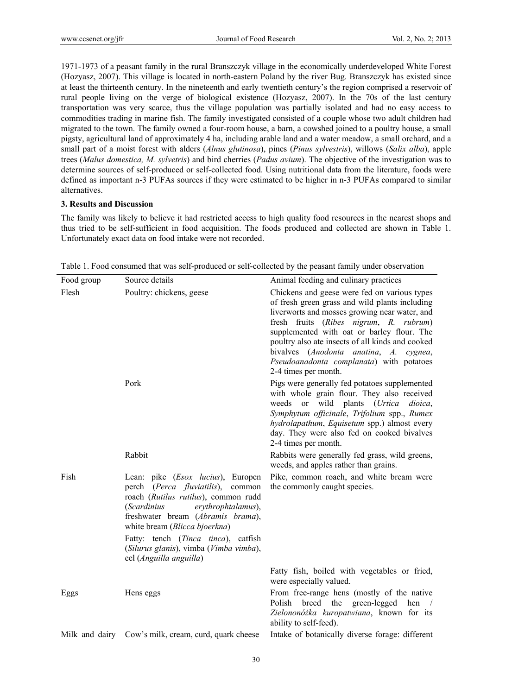1971-1973 of a peasant family in the rural Branszczyk village in the economically underdeveloped White Forest (Hozyasz, 2007). This village is located in north-eastern Poland by the river Bug. Branszczyk has existed since at least the thirteenth century. In the nineteenth and early twentieth century's the region comprised a reservoir of rural people living on the verge of biological existence (Hozyasz, 2007). In the 70s of the last century transportation was very scarce, thus the village population was partially isolated and had no easy access to commodities trading in marine fish. The family investigated consisted of a couple whose two adult children had migrated to the town. The family owned a four-room house, a barn, a cowshed joined to a poultry house, a small pigsty, agricultural land of approximately 4 ha, including arable land and a water meadow, a small orchard, and a small part of a moist forest with alders (*Alnus glutinosa*), pines (*Pinus sylvestris*), willows (*Salix alba*), apple trees (*Malus domestica, M. sylvetris*) and bird cherries (*Padus avium*). The objective of the investigation was to determine sources of self-produced or self-collected food. Using nutritional data from the literature, foods were defined as important n-3 PUFAs sources if they were estimated to be higher in n-3 PUFAs compared to similar alternatives.

## **3. Results and Discussion**

The family was likely to believe it had restricted access to high quality food resources in the nearest shops and thus tried to be self-sufficient in food acquisition. The foods produced and collected are shown in Table 1. Unfortunately exact data on food intake were not recorded.

| Food group | Source details                                                                                                                                                                                                                                                                   | Animal feeding and culinary practices                                                                                                                                                                                                                                                                                                                                                                     |
|------------|----------------------------------------------------------------------------------------------------------------------------------------------------------------------------------------------------------------------------------------------------------------------------------|-----------------------------------------------------------------------------------------------------------------------------------------------------------------------------------------------------------------------------------------------------------------------------------------------------------------------------------------------------------------------------------------------------------|
| Flesh      | Poultry: chickens, geese                                                                                                                                                                                                                                                         | Chickens and geese were fed on various types<br>of fresh green grass and wild plants including<br>liverworts and mosses growing near water, and<br>fresh fruits (Ribes nigrum, R. rubrum)<br>supplemented with oat or barley flour. The<br>poultry also ate insects of all kinds and cooked<br>bivalves (Anodonta anatina, A. cygnea,<br>Pseudoanadonta complanata) with potatoes<br>2-4 times per month. |
|            | Pork                                                                                                                                                                                                                                                                             | Pigs were generally fed potatoes supplemented<br>with whole grain flour. They also received<br>weeds or wild plants (Urtica dioica,<br>Symphytum officinale, Trifolium spp., Rumex<br>hydrolapathum, Equisetum spp.) almost every<br>day. They were also fed on cooked bivalves<br>2-4 times per month.                                                                                                   |
|            | Rabbit                                                                                                                                                                                                                                                                           | Rabbits were generally fed grass, wild greens,<br>weeds, and apples rather than grains.                                                                                                                                                                                                                                                                                                                   |
| Fish       | Lean: pike ( <i>Esox lucius</i> ), Europen<br>perch (Perca fluviatilis), common<br>roach (Rutilus rutilus), common rudd<br><i>(Scardinius</i><br>erythrophtalamus),<br>freshwater bream (Abramis brama),<br>white bream (Blicca bjoerkna)<br>Fatty: tench (Tinca tinca), catfish | Pike, common roach, and white bream were<br>the commonly caught species.                                                                                                                                                                                                                                                                                                                                  |
|            | (Silurus glanis), vimba (Vimba vimba),<br>eel (Anguilla anguilla)                                                                                                                                                                                                                |                                                                                                                                                                                                                                                                                                                                                                                                           |
|            |                                                                                                                                                                                                                                                                                  | Fatty fish, boiled with vegetables or fried,<br>were especially valued.                                                                                                                                                                                                                                                                                                                                   |
| Eggs       | Hens eggs                                                                                                                                                                                                                                                                        | From free-range hens (mostly of the native<br>Polish<br>breed the<br>green-legged<br>hen<br>Zielononóżka kuropatwiana, known for its<br>ability to self-feed).                                                                                                                                                                                                                                            |
|            | Milk and dairy Cow's milk, cream, curd, quark cheese                                                                                                                                                                                                                             | Intake of botanically diverse forage: different                                                                                                                                                                                                                                                                                                                                                           |

Table 1. Food consumed that was self-produced or self-collected by the peasant family under observation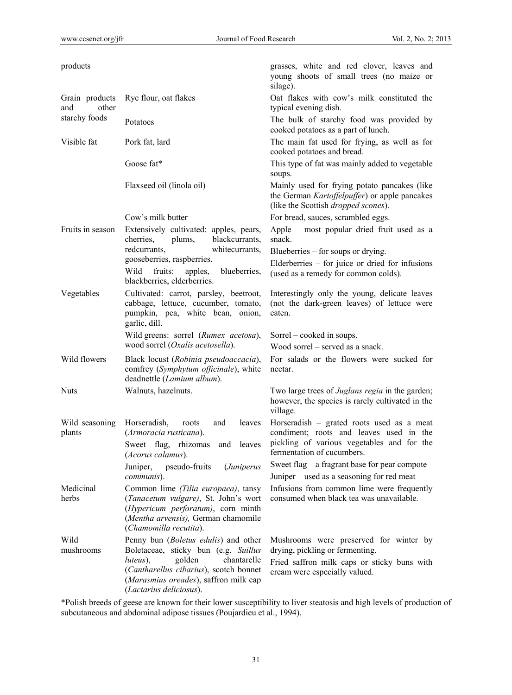| products                       |                                                                                                                                                                                                                                 | grasses, white and red clover, leaves and<br>young shoots of small trees (no maize or<br>silage).                                                                |
|--------------------------------|---------------------------------------------------------------------------------------------------------------------------------------------------------------------------------------------------------------------------------|------------------------------------------------------------------------------------------------------------------------------------------------------------------|
| Grain products<br>other<br>and | Rye flour, oat flakes                                                                                                                                                                                                           | Oat flakes with cow's milk constituted the<br>typical evening dish.                                                                                              |
| starchy foods                  | Potatoes                                                                                                                                                                                                                        | The bulk of starchy food was provided by<br>cooked potatoes as a part of lunch.                                                                                  |
| Visible fat                    | Pork fat, lard                                                                                                                                                                                                                  | The main fat used for frying, as well as for<br>cooked potatoes and bread.                                                                                       |
|                                | Goose fat*                                                                                                                                                                                                                      | This type of fat was mainly added to vegetable<br>soups.                                                                                                         |
|                                | Flaxseed oil (linola oil)                                                                                                                                                                                                       | Mainly used for frying potato pancakes (like<br>the German Kartoffelpuffer) or apple pancakes<br>(like the Scottish dropped scones).                             |
|                                | Cow's milk butter                                                                                                                                                                                                               | For bread, sauces, scrambled eggs.                                                                                                                               |
| Fruits in season               | Extensively cultivated: apples, pears,<br>blackcurrants,<br>cherries.<br>plums,                                                                                                                                                 | Apple – most popular dried fruit used as a<br>snack.                                                                                                             |
|                                | redcurrants,<br>whitecurrants,                                                                                                                                                                                                  | Blueberries – for soups or drying.                                                                                                                               |
|                                | gooseberries, raspberries.<br>Wild<br>fruits:<br>apples,<br>blueberries,<br>blackberries, elderberries.                                                                                                                         | Elderberries $-$ for juice or dried for infusions<br>(used as a remedy for common colds).                                                                        |
| Vegetables                     | Cultivated: carrot, parsley, beetroot,<br>cabbage, lettuce, cucumber, tomato,<br>pumpkin, pea, white bean, onion,<br>garlic, dill.                                                                                              | Interestingly only the young, delicate leaves<br>(not the dark-green leaves) of lettuce were<br>eaten.                                                           |
|                                | Wild greens: sorrel (Rumex acetosa),                                                                                                                                                                                            | Sorrel – cooked in soups.                                                                                                                                        |
|                                | wood sorrel (Oxalis acetosella).                                                                                                                                                                                                | Wood sorrel – served as a snack.                                                                                                                                 |
| Wild flowers                   | Black locust (Robinia pseudoaccacia),<br>comfrey (Symphytum officinale), white<br>deadnettle (Lamium album).                                                                                                                    | For salads or the flowers were sucked for<br>nectar.                                                                                                             |
| Nuts                           | Walnuts, hazelnuts.                                                                                                                                                                                                             | Two large trees of <i>Juglans regia</i> in the garden;<br>however, the species is rarely cultivated in the<br>village.                                           |
| Wild seasoning<br>plants       | Horseradish,<br>roots<br>and<br>leaves<br>(Armoracia rusticana).<br>Sweet flag, rhizomas and leaves<br>(Acorus calamus).                                                                                                        | Horseradish – grated roots used as a meat<br>condiment; roots and leaves used in the<br>pickling of various vegetables and for the<br>fermentation of cucumbers. |
|                                | Juniper,<br>pseudo-fruits<br><i>(Juniperus</i>                                                                                                                                                                                  | Sweet flag - a fragrant base for pear compote                                                                                                                    |
|                                | communis).                                                                                                                                                                                                                      | Juniper – used as a seasoning for red meat                                                                                                                       |
| Medicinal<br>herbs             | Common lime (Tilia europaea), tansy<br>(Tanacetum vulgare), St. John's wort<br>(Hypericum perforatum), corn minth<br>(Mentha arvensis), German chamomile<br>(Chamomilla recutita).                                              | Infusions from common lime were frequently<br>consumed when black tea was unavailable.                                                                           |
| Wild<br>mushrooms              | Penny bun (Boletus edulis) and other<br>Boletaceae, sticky bun (e.g. Suillus<br>golden<br>chantarelle<br>luteus),<br>(Cantharellus cibarius), scotch bonnet<br>(Marasmius oreades), saffron milk cap<br>(Lactarius deliciosus). | Mushrooms were preserved for winter by<br>drying, pickling or fermenting.<br>Fried saffron milk caps or sticky buns with<br>cream were especially valued.        |

\*Polish breeds of geese are known for their lower susceptibility to liver steatosis and high levels of production of subcutaneous and abdominal adipose tissues (Poujardieu et al., 1994).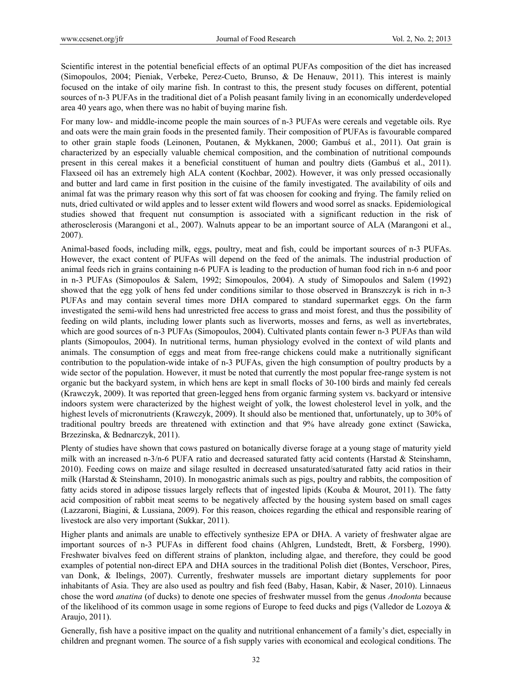Scientific interest in the potential beneficial effects of an optimal PUFAs composition of the diet has increased (Simopoulos, 2004; Pieniak, Verbeke, Perez-Cueto, Brunso, & De Henauw, 2011). This interest is mainly focused on the intake of oily marine fish. In contrast to this, the present study focuses on different, potential sources of n-3 PUFAs in the traditional diet of a Polish peasant family living in an economically underdeveloped area 40 years ago, when there was no habit of buying marine fish.

For many low- and middle-income people the main sources of n-3 PUFAs were cereals and vegetable oils. Rye and oats were the main grain foods in the presented family. Their composition of PUFAs is favourable compared to other grain staple foods (Leinonen, Poutanen, & Mykkanen, 2000; Gambuś et al., 2011). Oat grain is characterized by an especially valuable chemical composition, and the combination of nutritional compounds present in this cereal makes it a beneficial constituent of human and poultry diets (Gambuś et al., 2011). Flaxseed oil has an extremely high ALA content (Kochbar, 2002). However, it was only pressed occasionally and butter and lard came in first position in the cuisine of the family investigated. The availability of oils and animal fat was the primary reason why this sort of fat was choosen for cooking and frying. The family relied on nuts, dried cultivated or wild apples and to lesser extent wild flowers and wood sorrel as snacks. Epidemiological studies showed that frequent nut consumption is associated with a significant reduction in the risk of atherosclerosis (Marangoni et al., 2007). Walnuts appear to be an important source of ALA (Marangoni et al., 2007).

Animal-based foods, including milk, eggs, poultry, meat and fish, could be important sources of n-3 PUFAs. However, the exact content of PUFAs will depend on the feed of the animals. The industrial production of animal feeds rich in grains containing n-6 PUFA is leading to the production of human food rich in n-6 and poor in n-3 PUFAs (Simopoulos & Salem, 1992; Simopoulos, 2004). A study of Simopoulos and Salem (1992) showed that the egg yolk of hens fed under conditions similar to those observed in Branszczyk is rich in n-3 PUFAs and may contain several times more DHA compared to standard supermarket eggs. On the farm investigated the semi-wild hens had unrestricted free access to grass and moist forest, and thus the possibility of feeding on wild plants, including lower plants such as liverworts, mosses and ferns, as well as invertebrates, which are good sources of n-3 PUFAs (Simopoulos, 2004). Cultivated plants contain fewer n-3 PUFAs than wild plants (Simopoulos, 2004). In nutritional terms, human physiology evolved in the context of wild plants and animals. The consumption of eggs and meat from free-range chickens could make a nutritionally significant contribution to the population-wide intake of n-3 PUFAs, given the high consumption of poultry products by a wide sector of the population. However, it must be noted that currently the most popular free-range system is not organic but the backyard system, in which hens are kept in small flocks of 30-100 birds and mainly fed cereals (Krawczyk, 2009). It was reported that green-legged hens from organic farming system vs. backyard or intensive indoors system were characterized by the highest weight of yolk, the lowest cholesterol level in yolk, and the highest levels of micronutrients (Krawczyk, 2009). It should also be mentioned that, unfortunately, up to 30% of traditional poultry breeds are threatened with extinction and that 9% have already gone extinct (Sawicka, Brzezinska, & Bednarczyk, 2011).

Plenty of studies have shown that cows pastured on botanically diverse forage at a young stage of maturity yield milk with an increased n-3/n-6 PUFA ratio and decreased saturated fatty acid contents (Harstad & Steinshamn, 2010). Feeding cows on maize and silage resulted in decreased unsaturated/saturated fatty acid ratios in their milk (Harstad & Steinshamn, 2010). In monogastric animals such as pigs, poultry and rabbits, the composition of fatty acids stored in adipose tissues largely reflects that of ingested lipids (Kouba & Mourot, 2011). The fatty acid composition of rabbit meat seems to be negatively affected by the housing system based on small cages (Lazzaroni, Biagini, & Lussiana, 2009). For this reason, choices regarding the ethical and responsible rearing of livestock are also very important (Sukkar, 2011).

Higher plants and animals are unable to effectively synthesize EPA or DHA. A variety of freshwater algae are important sources of n-3 PUFAs in different food chains (Ahlgren, Lundstedt, Brett, & Forsberg, 1990). Freshwater bivalves feed on different strains of plankton, including algae, and therefore, they could be good examples of potential non-direct EPA and DHA sources in the traditional Polish diet (Bontes, Verschoor, Pires, van Donk, & Ibelings, 2007). Currently, freshwater mussels are important dietary supplements for poor inhabitants of Asia. They are also used as poultry and fish feed (Baby, Hasan, Kabir, & Naser, 2010). Linnaeus chose the word *anatina* (of ducks) to denote one species of freshwater mussel from the genus *Anodonta* because of the likelihood of its common usage in some regions of Europe to feed ducks and pigs (Valledor de Lozoya & Araujo, 2011).

Generally, fish have a positive impact on the quality and nutritional enhancement of a family's diet, especially in children and pregnant women. The source of a fish supply varies with economical and ecological conditions. The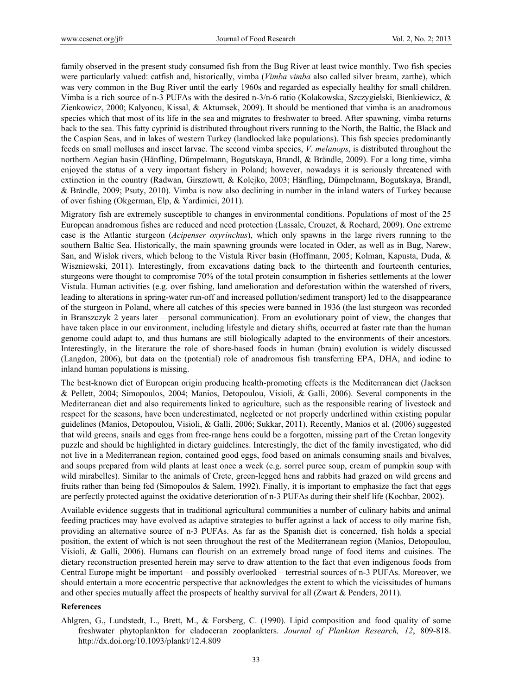family observed in the present study consumed fish from the Bug River at least twice monthly. Two fish species were particularly valued: catfish and, historically, vimba (*Vimba vimba* also called silver bream, zarthe), which was very common in the Bug River until the early 1960s and regarded as especially healthy for small children. Vimba is a rich source of n-3 PUFAs with the desired n-3/n-6 ratio (Kolakowska, Szczygielski, Bienkiewicz, & Zienkowicz, 2000; Kalyoncu, Kissal, & Aktumsek, 2009). It should be mentioned that vimba is an anadromous species which that most of its life in the sea and migrates to freshwater to breed. After spawning, vimba returns back to the sea. This fatty cyprinid is distributed throughout rivers running to the North, the Baltic, the Black and the Caspian Seas, and in lakes of western Turkey (landlocked lake populations). This fish species predominantly feeds on small molluscs and insect larvae. The second vimba species, *V. melanops*, is distributed throughout the northern Aegian basin (Hänfling, Dűmpelmann, Bogutskaya, Brandl, & Brändle, 2009). For a long time, vimba enjoyed the status of a very important fishery in Poland; however, nowadays it is seriously threatened with extinction in the country (Radwan, Girsztowtt, & Kolejko, 2003; Hänfling, Dűmpelmann, Bogutskaya, Brandl, & Brändle, 2009; Psuty, 2010). Vimba is now also declining in number in the inland waters of Turkey because of over fishing (Okgerman, Elp, & Yardimici, 2011).

Migratory fish are extremely susceptible to changes in environmental conditions. Populations of most of the 25 European anadromous fishes are reduced and need protection (Lassale, Crouzet, & Rochard, 2009). One extreme case is the Atlantic sturgeon (*Acipenser oxyrinchus*), which only spawns in the large rivers running to the southern Baltic Sea. Historically, the main spawning grounds were located in Oder, as well as in Bug, Narew, San, and Wislok rivers, which belong to the Vistula River basin (Hoffmann, 2005; Kolman, Kapusta, Duda, & Wiszniewski, 2011). Interestingly, from excavations dating back to the thirteenth and fourteenth centuries, sturgeons were thought to compromise 70% of the total protein consumption in fisheries settlements at the lower Vistula. Human activities (e.g. over fishing, land amelioration and deforestation within the watershed of rivers, leading to alterations in spring-water run-off and increased pollution/sediment transport) led to the disappearance of the sturgeon in Poland, where all catches of this species were banned in 1936 (the last sturgeon was recorded in Branszczyk 2 years later – personal communication). From an evolutionary point of view, the changes that have taken place in our environment, including lifestyle and dietary shifts, occurred at faster rate than the human genome could adapt to, and thus humans are still biologically adapted to the environments of their ancestors. Interestingly, in the literature the role of shore-based foods in human (brain) evolution is widely discussed (Langdon, 2006), but data on the (potential) role of anadromous fish transferring EPA, DHA, and iodine to inland human populations is missing.

The best-known diet of European origin producing health-promoting effects is the Mediterranean diet (Jackson & Pellett, 2004; Simopoulos, 2004; Manios, Detopoulou, Visioli, & Galli, 2006). Several components in the Mediterranean diet and also requirements linked to agriculture, such as the responsible rearing of livestock and respect for the seasons, have been underestimated, neglected or not properly underlined within existing popular guidelines (Manios, Detopoulou, Visioli, & Galli, 2006; Sukkar, 2011). Recently, Manios et al. (2006) suggested that wild greens, snails and eggs from free-range hens could be a forgotten, missing part of the Cretan longevity puzzle and should be highlighted in dietary guidelines. Interestingly, the diet of the family investigated, who did not live in a Mediterranean region, contained good eggs, food based on animals consuming snails and bivalves, and soups prepared from wild plants at least once a week (e.g. sorrel puree soup, cream of pumpkin soup with wild mirabelles). Similar to the animals of Crete, green-legged hens and rabbits had grazed on wild greens and fruits rather than being fed (Simopoulos & Salem, 1992). Finally, it is important to emphasize the fact that eggs are perfectly protected against the oxidative deterioration of n-3 PUFAs during their shelf life (Kochbar, 2002).

Available evidence suggests that in traditional agricultural communities a number of culinary habits and animal feeding practices may have evolved as adaptive strategies to buffer against a lack of access to oily marine fish, providing an alternative source of n-3 PUFAs. As far as the Spanish diet is concerned, fish holds a special position, the extent of which is not seen throughout the rest of the Mediterranean region (Manios, Detopoulou, Visioli, & Galli, 2006). Humans can flourish on an extremely broad range of food items and cuisines. The dietary reconstruction presented herein may serve to draw attention to the fact that even indigenous foods from Central Europe might be important – and possibly overlooked – terrestrial sources of n-3 PUFAs. Moreover, we should entertain a more ecocentric perspective that acknowledges the extent to which the vicissitudes of humans and other species mutually affect the prospects of healthy survival for all (Zwart & Penders, 2011).

#### **References**

Ahlgren, G., Lundstedt, L., Brett, M., & Forsberg, C. (1990). Lipid composition and food quality of some freshwater phytoplankton for cladoceran zooplankters. *Journal of Plankton Research, 12*, 809-818. http://dx.doi.org/10.1093/plankt/12.4.809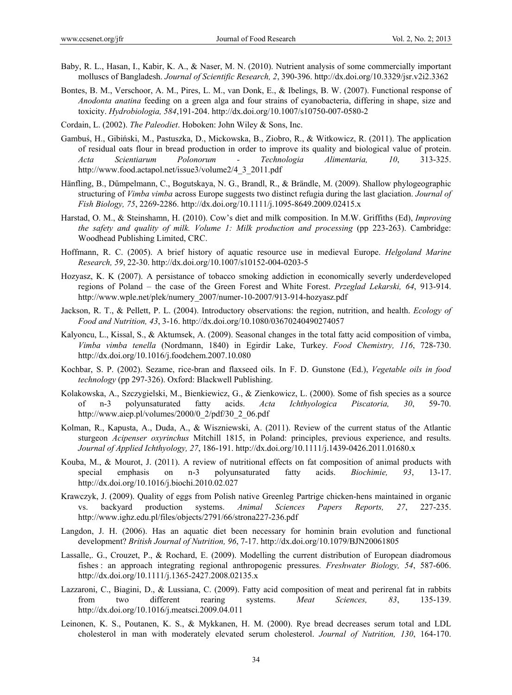- Baby, R. L., Hasan, I., Kabir, K. A., & Naser, M. N. (2010). Nutrient analysis of some commercially important molluscs of Bangladesh. *Journal of Scientific Research, 2*, 390-396. http://dx.doi.org/10.3329/jsr.v2i2.3362
- Bontes, B. M., Verschoor, A. M., Pires, L. M., van Donk, E., & Ibelings, B. W. (2007). Functional response of *Anodonta anatina* feeding on a green alga and four strains of cyanobacteria, differing in shape, size and toxicity. *Hydrobiologia, 584*,191-204. http://dx.doi.org/10.1007/s10750-007-0580-2
- Cordain, L. (2002). *The Paleodiet*. Hoboken: John Wiley & Sons, Inc.
- Gambuś, H., Gibiński, M., Pastuszka, D., Mickowska, B., Ziobro, R., & Witkowicz, R. (2011). The application of residual oats flour in bread production in order to improve its quality and biological value of protein. *Acta Scientiarum Polonorum - Technologia Alimentaria, 10*, 313-325. http://www.food.actapol.net/issue3/volume2/4\_3\_2011.pdf
- Hänfling, B., Dűmpelmann, C., Bogutskaya, N. G., Brandl, R., & Brändle, M. (2009). Shallow phylogeographic structuring of *Vimba vimba* across Europe suggests two distinct refugia during the last glaciation. *Journal of Fish Biology, 75*, 2269-2286. http://dx.doi.org/10.1111/j.1095-8649.2009.02415.x
- Harstad, O. M., & Steinshamn, H. (2010). Cow's diet and milk composition. In M.W. Griffiths (Ed), *Improving the safety and quality of milk. Volume 1: Milk production and processing* (pp 223-263). Cambridge: Woodhead Publishing Limited, CRC.
- Hoffmann, R. C. (2005). A brief history of aquatic resource use in medieval Europe. *Helgoland Marine Research, 59*, 22-30. http://dx.doi.org/10.1007/s10152-004-0203-5
- Hozyasz, K. K (2007). A persistance of tobacco smoking addiction in economically severly underdeveloped regions of Poland – the case of the Green Forest and White Forest. *Przeglad Lekarski, 64*, 913-914. http://www.wple.net/plek/numery\_2007/numer-10-2007/913-914-hozyasz.pdf
- Jackson, R. T., & Pellett, P. L. (2004). Introductory observations: the region, nutrition, and health. *Ecology of Food and Nutrition, 43*, 3-16. http://dx.doi.org/10.1080/03670240490274057
- Kalyoncu, L., Kissal, S., & Aktumsek, A. (2009). Seasonal changes in the total fatty acid composition of vimba, *Vimba vimba tenella* (Nordmann, 1840) in Egirdir Lake, Turkey. *Food Chemistry, 116*, 728-730. http://dx.doi.org/10.1016/j.foodchem.2007.10.080
- Kochbar, S. P. (2002). Sezame, rice-bran and flaxseed oils. In F. D. Gunstone (Ed.), *Vegetable oils in food technology* (pp 297-326). Oxford: Blackwell Publishing.
- Kolakowska, A., Szczygielski, M., Bienkiewicz, G., & Zienkowicz, L. (2000). Some of fish species as a source of n-3 polyunsaturated fatty acids. *Acta Ichthyologica Piscatoria, 30*, 59-70. http://www.aiep.pl/volumes/2000/0\_2/pdf/30\_2\_06.pdf
- Kolman, R., Kapusta, A., Duda, A., & Wiszniewski, A. (2011). Review of the current status of the Atlantic sturgeon *Acipenser oxyrinchus* Mitchill 1815, in Poland: principles, previous experience, and results. *Journal of Applied Ichthyology, 27*, 186-191. http://dx.doi.org/10.1111/j.1439-0426.2011.01680.x
- Kouba, M., & Mourot, J. (2011). A review of nutritional effects on fat composition of animal products with special emphasis on n-3 polyunsaturated fatty acids. *Biochimie, 93*, 13-17. http://dx.doi.org/10.1016/j.biochi.2010.02.027
- Krawczyk, J. (2009). Quality of eggs from Polish native Greenleg Partrige chicken-hens maintained in organic vs. backyard production systems. *Animal Sciences Papers Reports, 27*, 227-235. http://www.ighz.edu.pl/files/objects/2791/66/strona227-236.pdf
- Langdon, J. H. (2006). Has an aquatic diet been necessary for hominin brain evolution and functional development? *British Journal of Nutrition, 96*, 7-17. http://dx.doi.org/10.1079/BJN20061805
- Lassalle,. G., Crouzet, P., & Rochard, E. (2009). Modelling the current distribution of European diadromous fishes : an approach integrating regional anthropogenic pressures. *Freshwater Biology, 54*, 587-606. http://dx.doi.org/10.1111/j.1365-2427.2008.02135.x
- Lazzaroni, C., Biagini, D., & Lussiana, C. (2009). Fatty acid composition of meat and perirenal fat in rabbits from two different rearing systems. *Meat Sciences, 83*, 135-139. http://dx.doi.org/10.1016/j.meatsci.2009.04.011
- Leinonen, K. S., Poutanen, K. S., & Mykkanen, H. M. (2000). Rye bread decreases serum total and LDL cholesterol in man with moderately elevated serum cholesterol. *Journal of Nutrition, 130*, 164-170.